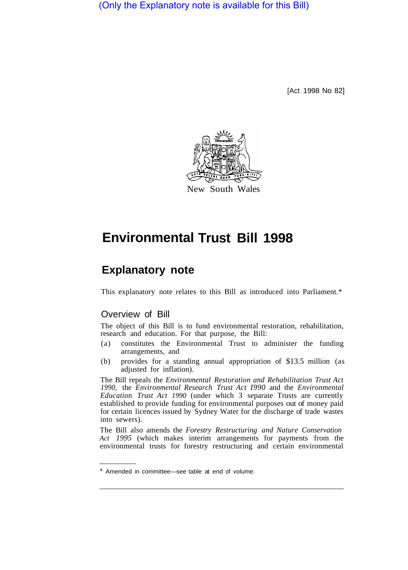(Only the Explanatory note is available for this Bill)

[Act 1998 No 82]



# **Environmental Trust Bill 1998**

## **Explanatory note**

This explanatory note relates to this Bill as introduced into Parliament.\*

### Overview of Bill

The object of this Bill is to fund environmental restoration, rehabilitation, research and education. For that purpose, the Bill:

- (a) constitutes the Environmental Trust to administer the funding arrangements, and
- (b) provides for a standing annual appropriation of \$13.5 million (as adjusted for inflation).

The Bill repeals the *Environmental Restoration and Rehabilitation Trust Act 1990,* the *Environmental Research Trust Act I990* and the *Environmental Education Trust Act 1990* (under which 3 separate Trusts are currently established to provide funding for environmental purposes out of money paid for certain licences issued by Sydney Water for the discharge of trade wastes into sewers).

The Bill also amends the *Forestry Restructuring and Nature Conservation Act 1995* (which makes interim arrangements for payments from the environmental trusts for forestry restructuring and certain environmental

Amended in committee—see table at end of volume.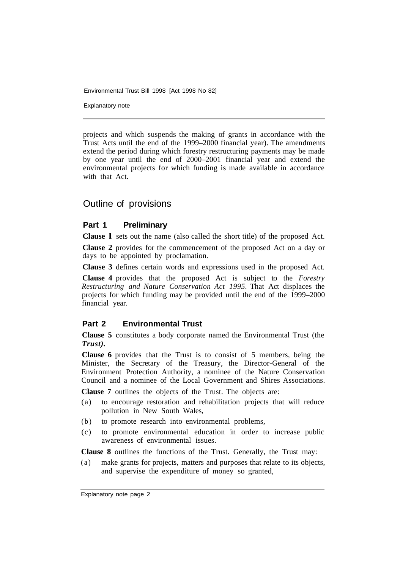Explanatory note

projects and which suspends the making of grants in accordance with the Trust Acts until the end of the 1999–2000 financial year). The amendments extend the period during which forestry restructuring payments may be made by one year until the end of 2000–2001 financial year and extend the environmental projects for which funding is made available in accordance with that Act.

#### Outline of provisions

#### **Part 1 Preliminary**

**Clause l** sets out the name (also called the short title) of the proposed Act.

**Clause 2** provides for the commencement of the proposed Act on a day or days to be appointed by proclamation.

**Clause 3** defines certain words and expressions used in the proposed Act.

**Clause 4** provides that the proposed Act is subject to the *Forestry Restructuring and Nature Conservation Act 1995.* That Act displaces the projects for which funding may be provided until the end of the 1999–2000 financial year.

#### **Part 2 Environmental Trust**

**Clause 5** constitutes a body corporate named the Environmental Trust (the *Trust).* 

**Clause 6** provides that the Trust is to consist of 5 members, being the Minister, the Secretary of the Treasury, the Director-General of the Environment Protection Authority, a nominee of the Nature Conservation Council and a nominee of the Local Government and Shires Associations.

**Clause 7** outlines the objects of the Trust. The objects are:

- (a) to encourage restoration and rehabilitation projects that will reduce pollution in New South Wales,
- (b) to promote research into environmental problems,
- (c) to promote environmental education in order to increase public awareness of environmental issues.

**Clause 8** outlines the functions of the Trust. Generally, the Trust may:

(a) make grants for projects, matters and purposes that relate to its objects, and supervise the expenditure of money so granted,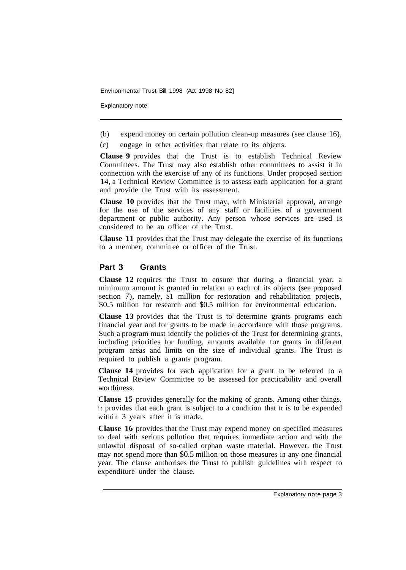Explanatory note

(b) expend money on certain pollution clean-up measures (see clause 16),

(c) engage in other activities that relate to its objects.

**Clause 9** provides that the Trust is to establish Technical Review Committees. The Trust may also establish other committees to assist it in connection with the exercise of any of its functions. Under proposed section 14, a Technical Review Committee is to assess each application for a grant and provide the Trust with its assessment.

**Clause 10** provides that the Trust may, with Ministerial approval, arrange for the use of the services of any staff or facilities of a government department or public authority. Any person whose services are used is considered to be an officer of the Trust.

**Clause 11** provides that the Trust may delegate the exercise of its functions to a member, committee or officer of the Trust.

#### **Part 3 Grants**

**Clause 12** requires the Trust to ensure that during a financial year, a minimum amount is granted in relation to each of its objects (see proposed section 7), namely,  $\overline{S}1$  million for restoration and rehabilitation projects, \$0.5 million for research and \$0.5 million for environmental education.

**Clause 13** provides that the Trust is to determine grants programs each financial year and for grants to be made in accordance with those programs. Such a program must identify the policies of the Trust for determining grants, including priorities for funding, amounts available for grants in different program areas and limits on the size of individual grants. The Trust is required to publish a grants program.

**Clause 14** provides for each application for a grant to be referred to a Technical Review Committee to be assessed for practicability and overall worthiness.

**Clause 15** provides generally for the making of grants. Among other things. it provides that each grant is subject to a condition that it is to be expended within 3 years after it is made.

**Clause 16** provides that the Trust may expend money on specified measures to deal with serious pollution that requires immediate action and with the unlawful disposal of so-called orphan waste material. However. the Trust may not spend more than \$0.5 million on those measures in any one financial year. The clause authorises the Trust to publish guidelines with respect to expenditure under the clause.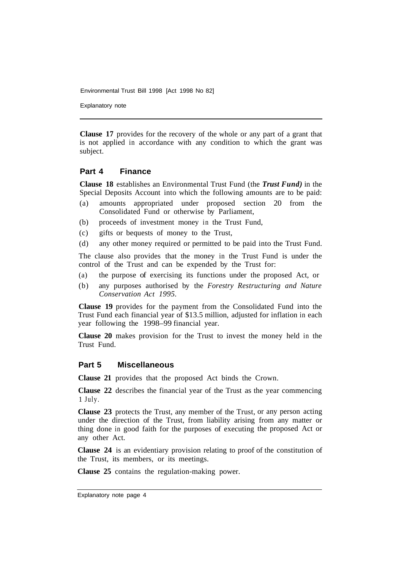Explanatory note

**Clause 17** provides for the recovery of the whole or any part of a grant that is not applied in accordance with any condition to which the grant was subject.

#### **Part 4 Finance**

**Clause 18** establishes an Environmental Trust Fund (the *Trust Fund)* in the Special Deposits Account into which the following amounts are to be paid:

- (a) amounts appropriated under proposed section 20 from the Consolidated Fund or otherwise by Parliament,
- (b) proceeds of investment money in the Trust Fund,
- (c) gifts or bequests of money to the Trust,
- (d) any other money required or permitted to be paid into the Trust Fund.

The clause also provides that the money in the Trust Fund is under the control of the Trust and can be expended by the Trust for:

- (a) the purpose of exercising its functions under the proposed Act, or
- (b) any purposes authorised by the *Forestry Restructuring and Nature Conservation Act 1995.*

**Clause 19** provides for the payment from the Consolidated Fund into the Trust Fund each financial year of \$13.5 million, adjusted for inflation in each year following the 1998–99 financial year.

**Clause 20** makes provision for the Trust to invest the money held in the Trust Fund.

#### **Part 5 Miscellaneous**

**Clause 21** provides that the proposed Act binds the Crown.

**Clause 22** describes the financial year of the Trust as the year commencing 1 July.

**Clause 23** protects the Trust, any member of the Trust, or any person acting under the direction of the Trust, from liability arising from any matter or thing done in good faith for the purposes of executing the proposed Act or any other Act.

**Clause 24** is an evidentiary provision relating to proof of the constitution of the Trust, its members, or its meetings.

**Clause 25** contains the regulation-making power.

Explanatory note page 4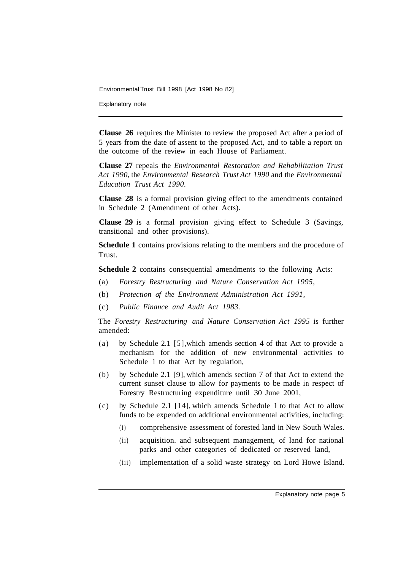Explanatory note

**Clause 26** requires the Minister to review the proposed Act after a period of 5 years from the date of assent to the proposed Act, and to table a report on the outcome of the review in each House of Parliament.

**Clause 27** repeals the *Environmental Restoration and Rehabilitation Trust Act 1990,* the *Environmental Research Trust Act 1990* and the *Environmental Education Trust Act 1990.* 

**Clause 28** is a formal provision giving effect to the amendments contained in Schedule 2 (Amendment of other Acts).

**Clause 29** is a formal provision giving effect to Schedule 3 (Savings, transitional and other provisions).

**Schedule 1** contains provisions relating to the members and the procedure of Trust.

**Schedule 2** contains consequential amendments to the following Acts:

- (a) *Forestry Restructuring and Nature Conservation Act 1995,*
- (b) *Protection of the Environment Administration Act 1991,*
- (c) *Public Finance and Audit Act 1983.*

The *Forestry Restructuring and Nature Conservation Act 1995* is further amended:

- (a) by Schedule 2.1 [5], which amends section 4 of that Act to provide a mechanism for the addition of new environmental activities to Schedule 1 to that Act by regulation,
- (b) by Schedule 2.1 [9], which amends section 7 of that Act to extend the current sunset clause to allow for payments to be made in respect of Forestry Restructuring expenditure until 30 June 2001,
- (c) by Schedule 2.1 [14], which amends Schedule 1 to that Act to allow funds to be expended on additional environmental activities, including:
	- (i) comprehensive assessment of forested land in New South Wales.
	- (ii) acquisition. and subsequent management, of land for national parks and other categories of dedicated or reserved land,
	- (iii) implementation of a solid waste strategy on Lord Howe Island.